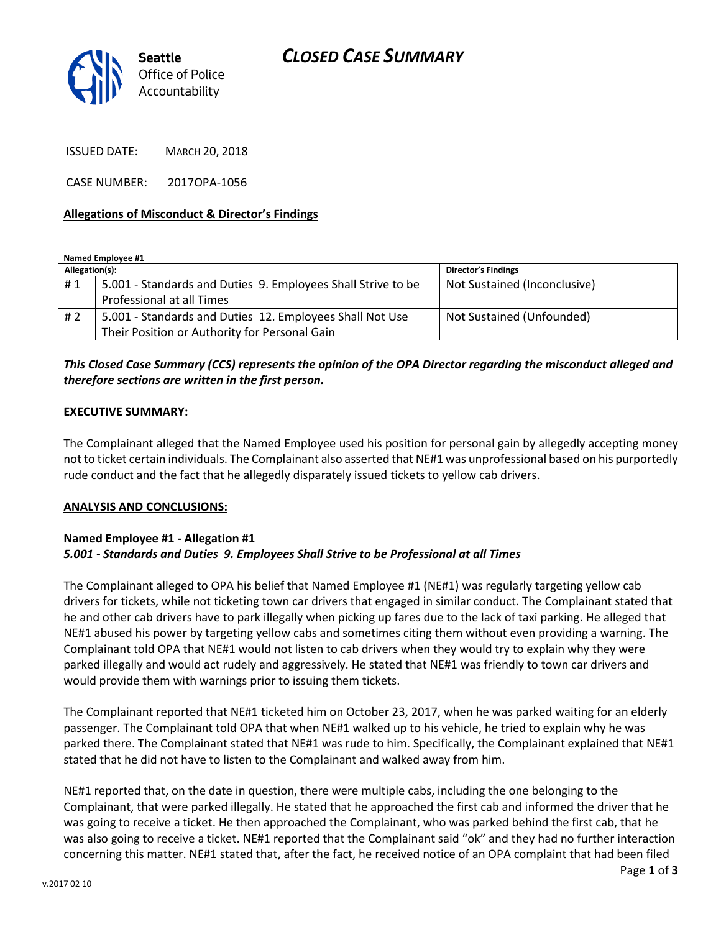## *CLOSED CASE SUMMARY*



ISSUED DATE: MARCH 20, 2018

CASE NUMBER: 2017OPA-1056

### **Allegations of Misconduct & Director's Findings**

**Named Employee #1**

| Allegation(s): |                                                              | <b>Director's Findings</b>   |
|----------------|--------------------------------------------------------------|------------------------------|
| #1             | 5.001 - Standards and Duties 9. Employees Shall Strive to be | Not Sustained (Inconclusive) |
|                | Professional at all Times                                    |                              |
| # 2            | 5.001 - Standards and Duties 12. Employees Shall Not Use     | Not Sustained (Unfounded)    |
|                | Their Position or Authority for Personal Gain                |                              |

### *This Closed Case Summary (CCS) represents the opinion of the OPA Director regarding the misconduct alleged and therefore sections are written in the first person.*

#### **EXECUTIVE SUMMARY:**

The Complainant alleged that the Named Employee used his position for personal gain by allegedly accepting money not to ticket certain individuals. The Complainant also asserted that NE#1 was unprofessional based on his purportedly rude conduct and the fact that he allegedly disparately issued tickets to yellow cab drivers.

#### **ANALYSIS AND CONCLUSIONS:**

### **Named Employee #1 - Allegation #1** *5.001 - Standards and Duties 9. Employees Shall Strive to be Professional at all Times*

The Complainant alleged to OPA his belief that Named Employee #1 (NE#1) was regularly targeting yellow cab drivers for tickets, while not ticketing town car drivers that engaged in similar conduct. The Complainant stated that he and other cab drivers have to park illegally when picking up fares due to the lack of taxi parking. He alleged that NE#1 abused his power by targeting yellow cabs and sometimes citing them without even providing a warning. The Complainant told OPA that NE#1 would not listen to cab drivers when they would try to explain why they were parked illegally and would act rudely and aggressively. He stated that NE#1 was friendly to town car drivers and would provide them with warnings prior to issuing them tickets.

The Complainant reported that NE#1 ticketed him on October 23, 2017, when he was parked waiting for an elderly passenger. The Complainant told OPA that when NE#1 walked up to his vehicle, he tried to explain why he was parked there. The Complainant stated that NE#1 was rude to him. Specifically, the Complainant explained that NE#1 stated that he did not have to listen to the Complainant and walked away from him.

NE#1 reported that, on the date in question, there were multiple cabs, including the one belonging to the Complainant, that were parked illegally. He stated that he approached the first cab and informed the driver that he was going to receive a ticket. He then approached the Complainant, who was parked behind the first cab, that he was also going to receive a ticket. NE#1 reported that the Complainant said "ok" and they had no further interaction concerning this matter. NE#1 stated that, after the fact, he received notice of an OPA complaint that had been filed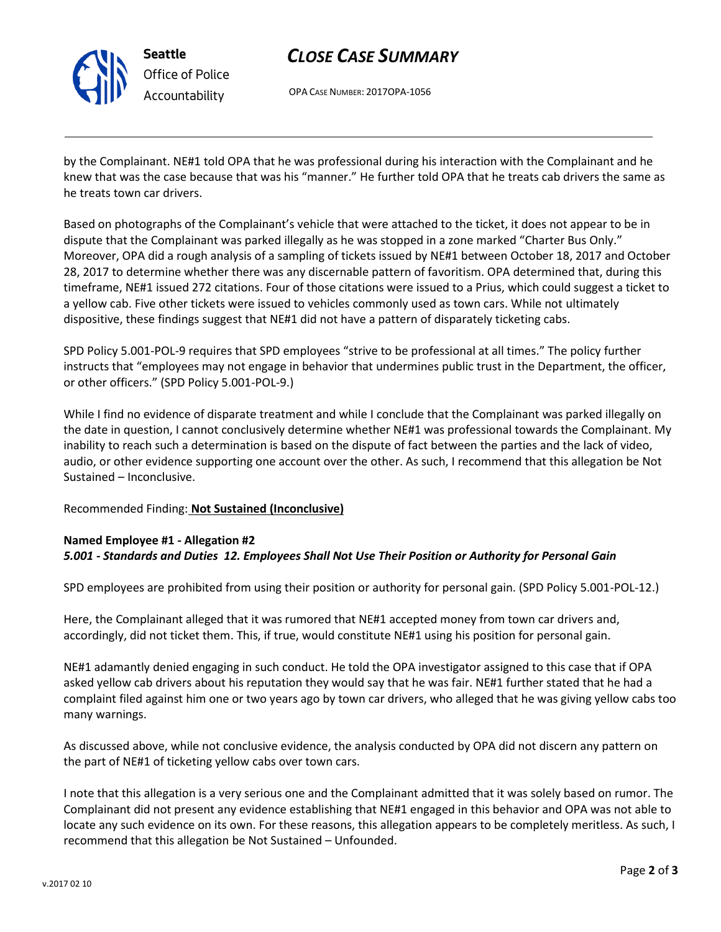

**Seattle** *Office of Police Accountability*

# *CLOSE CASE SUMMARY*

OPA CASE NUMBER: 2017OPA-1056

by the Complainant. NE#1 told OPA that he was professional during his interaction with the Complainant and he knew that was the case because that was his "manner." He further told OPA that he treats cab drivers the same as he treats town car drivers.

Based on photographs of the Complainant's vehicle that were attached to the ticket, it does not appear to be in dispute that the Complainant was parked illegally as he was stopped in a zone marked "Charter Bus Only." Moreover, OPA did a rough analysis of a sampling of tickets issued by NE#1 between October 18, 2017 and October 28, 2017 to determine whether there was any discernable pattern of favoritism. OPA determined that, during this timeframe, NE#1 issued 272 citations. Four of those citations were issued to a Prius, which could suggest a ticket to a yellow cab. Five other tickets were issued to vehicles commonly used as town cars. While not ultimately dispositive, these findings suggest that NE#1 did not have a pattern of disparately ticketing cabs.

SPD Policy 5.001-POL-9 requires that SPD employees "strive to be professional at all times." The policy further instructs that "employees may not engage in behavior that undermines public trust in the Department, the officer, or other officers." (SPD Policy 5.001-POL-9.)

While I find no evidence of disparate treatment and while I conclude that the Complainant was parked illegally on the date in question, I cannot conclusively determine whether NE#1 was professional towards the Complainant. My inability to reach such a determination is based on the dispute of fact between the parties and the lack of video, audio, or other evidence supporting one account over the other. As such, I recommend that this allegation be Not Sustained – Inconclusive.

### Recommended Finding: **Not Sustained (Inconclusive)**

## **Named Employee #1 - Allegation #2** *5.001 - Standards and Duties 12. Employees Shall Not Use Their Position or Authority for Personal Gain*

SPD employees are prohibited from using their position or authority for personal gain. (SPD Policy 5.001-POL-12.)

Here, the Complainant alleged that it was rumored that NE#1 accepted money from town car drivers and, accordingly, did not ticket them. This, if true, would constitute NE#1 using his position for personal gain.

NE#1 adamantly denied engaging in such conduct. He told the OPA investigator assigned to this case that if OPA asked yellow cab drivers about his reputation they would say that he was fair. NE#1 further stated that he had a complaint filed against him one or two years ago by town car drivers, who alleged that he was giving yellow cabs too many warnings.

As discussed above, while not conclusive evidence, the analysis conducted by OPA did not discern any pattern on the part of NE#1 of ticketing yellow cabs over town cars.

I note that this allegation is a very serious one and the Complainant admitted that it was solely based on rumor. The Complainant did not present any evidence establishing that NE#1 engaged in this behavior and OPA was not able to locate any such evidence on its own. For these reasons, this allegation appears to be completely meritless. As such, I recommend that this allegation be Not Sustained – Unfounded.